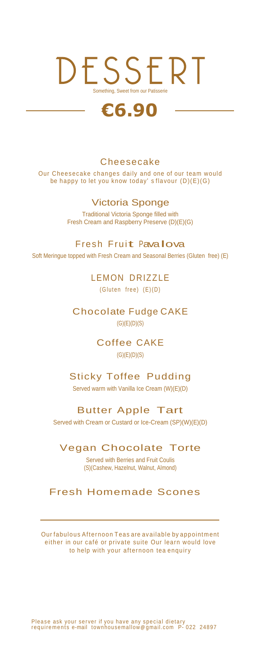# DESSERT Something, Sweet from our Patisserie

# **€6.90**

#### **Cheesecake**

Our Cheesecake changes daily and one of our team would be happy to let you know today' s flavour (D)(E)(G)

## Victoria Sponge

Traditional Victoria Sponge filled with Fresh Cream and Raspberry Preserve (D)(E)(G)

Fresh Fruit Pavalova

Soft Meringue topped with Fresh Cream and Seasonal Berries (Gluten free) (E)

LEMON DRIZZLE  $(Gluten free) (E) (D)$ 

Chocolate Fudge CAKE  $(G)(E)(D)(S)$ 

> Coffee CAKE  $(G)(E)(D)(S)$

# Sticky Toffee Pudding

Served warm with Vanilla Ice Cream (W)(E)(D)

## Butter Apple Tart

Served with Cream or Custard or Ice-Cream (SP)(W)(E)(D)

## Vegan Chocolate Torte

Served with Berries and Fruit Coulis (S)(Cashew, Hazelnut, Walnut, Almond)

# Fresh Homemade Scones

Our fabulous Afternoon Teas are available by appointment either in our café or private suite Our learn would love to help with your afternoon tea enquiry

Please ask your server if you have any special dietary<br>requirements e-mail townhousemallow@gmail.com P- 022 24897